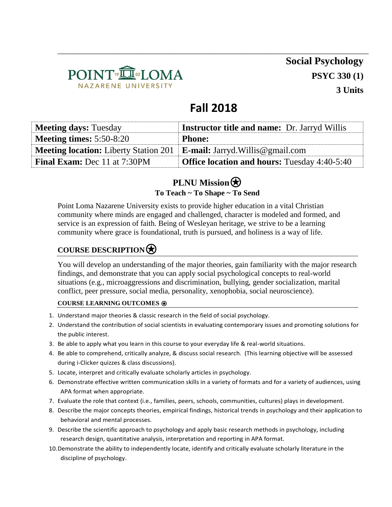

**Social Psychology PSYC 330 (1) 3 Units**

# **Fall 2018**

\_\_\_\_\_\_\_\_\_\_\_\_\_\_\_\_\_\_\_\_\_\_\_\_\_\_\_\_\_\_\_\_\_\_\_\_\_\_\_\_\_\_\_\_\_\_\_\_\_\_\_\_\_\_\_\_\_\_\_\_\_\_\_\_\_\_\_\_\_\_\_\_\_\_\_\_\_\_\_\_\_

| <b>Meeting days: Tuesday</b>                 | <b>Instructor title and name:</b> Dr. Jarryd Willis |
|----------------------------------------------|-----------------------------------------------------|
| <b>Meeting times:</b> $5:50-8:20$            | <b>Phone:</b>                                       |
| <b>Meeting location:</b> Liberty Station 201 | <b>E-mail:</b> Jarryd. Willis @gmail.com            |
| <b>Final Exam:</b> Dec 11 at 7:30PM          | <b>Office location and hours:</b> Tuesday 4:40-5:40 |

## **PLNU Mission To Teach ~ To Shape ~ To Send**

Point Loma Nazarene University exists to provide higher education in a vital Christian community where minds are engaged and challenged, character is modeled and formed, and service is an expression of faith. Being of Wesleyan heritage, we strive to be a learning community where grace is foundational, truth is pursued, and holiness is a way of life.

# **COURSE DESCRIPTION**⍟

You will develop an understanding of the major theories, gain familiarity with the major research findings, and demonstrate that you can apply social psychological concepts to real-world situations (e.g., microaggressions and discrimination, bullying, gender socialization, marital conflict, peer pressure, social media, personality, xenophobia, social neuroscience).

#### **COURSE LEARNING OUTCOMES** ⍟

- 1. Understand major theories & classic research in the field of social psychology.
- 2. Understand the contribution of social scientists in evaluating contemporary issues and promoting solutions for the public interest.
- 3. Be able to apply what you learn in this course to your everyday life & real-world situations.
- 4. Be able to comprehend, critically analyze, & discuss social research. (This learning objective will be assessed during i-Clicker quizzes & class discussions).
- 5. Locate, interpret and critically evaluate scholarly articles in psychology.
- 6. Demonstrate effective written communication skills in a variety of formats and for a variety of audiences, using APA format when appropriate.
- 7. Evaluate the role that context (i.e., families, peers, schools, communities, cultures) plays in development.
- 8. Describe the major concepts theories, empirical findings, historical trends in psychology and their application to behavioral and mental processes.
- 9. Describe the scientific approach to psychology and apply basic research methods in psychology, including research design, quantitative analysis, interpretation and reporting in APA format.
- 10.Demonstrate the ability to independently locate, identify and critically evaluate scholarly literature in the discipline of psychology.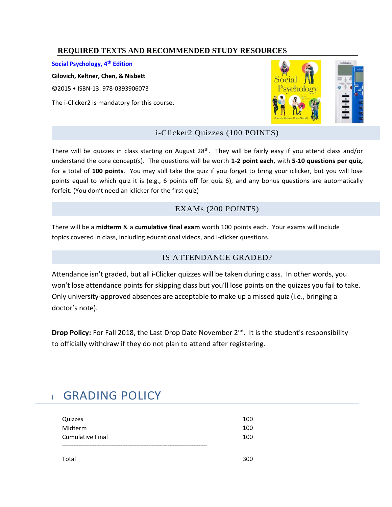### **REQUIRED TEXTS AND RECOMMENDED STUDY RESOURCES**

**[Social Psychology, 4](http://www.pearsonhighered.com/product?ISBN=9780205912018)th Edition** 

**Gilovich, Keltner, Chen, & Nisbett** 

©2015 • ISBN-13: 978-0393906073

The i-Clicker2 is mandatory for this course.



### i-Clicker2 Quizzes (100 POINTS)

There will be quizzes in class starting on August 28<sup>th</sup>. They will be fairly easy if you attend class and/or understand the core concept(s). The questions will be worth **1-2 point each,** with **5-10 questions per quiz,** for a total of **100 points**. You may still take the quiz if you forget to bring your iclicker, but you will lose points equal to which quiz it is (e.g., 6 points off for quiz 6), and any bonus questions are automatically forfeit. (You don't need an iclicker for the first quiz)

### EXAMs (200 POINTS)

There will be a **midterm** & a **cumulative final exam** worth 100 points each. Your exams will include topics covered in class, including educational videos, and i-clicker questions.

#### IS ATTENDANCE GRADED?

Attendance isn't graded, but all i-Clicker quizzes will be taken during class. In other words, you won't lose attendance points for skipping class but you'll lose points on the quizzes you fail to take. Only university-approved absences are acceptable to make up a missed quiz (i.e., bringing a doctor's note).

Drop Policy: For Fall 2018, the Last Drop Date November 2<sup>nd</sup>. It is the student's responsibility to officially withdraw if they do not plan to attend after registering.

# **GRADING POLICY**

| Quizzes                 | 100 |
|-------------------------|-----|
| Midterm                 | 100 |
| <b>Cumulative Final</b> | 100 |
|                         |     |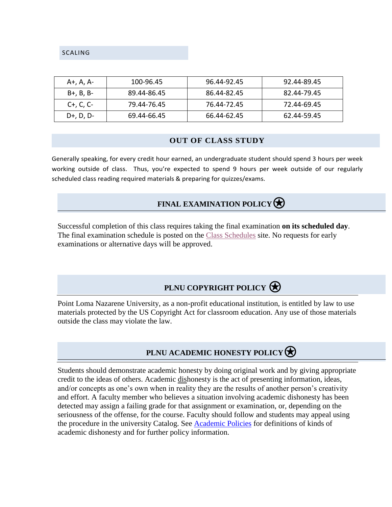SCALING

| A+, A, A-       | 100-96.45   | 96.44-92.45 | 92.44-89.45 |
|-----------------|-------------|-------------|-------------|
| B+, B, B-       | 89.44-86.45 | 86.44-82.45 | 82.44-79.45 |
| $C_{+}$ , C, C- | 79.44-76.45 | 76.44-72.45 | 72.44-69.45 |
| $D+$ , D, D-    | 69.44-66.45 | 66.44-62.45 | 62.44-59.45 |

#### **OUT OF CLASS STUDY**

Generally speaking, for every credit hour earned, an undergraduate student should spend 3 hours per week working outside of class. Thus, you're expected to spend 9 hours per week outside of our regularly scheduled class reading required materials & preparing for quizzes/exams.

## **FINAL EXAMINATION POLICY**

Successful completion of this class requires taking the final examination **on its scheduled day**. The final examination schedule is posted on the [Class Schedules](http://www.pointloma.edu/experience/academics/class-schedules) site. No requests for early examinations or alternative days will be approved.

# **PLNU COPYRIGHT POLICY**

Point Loma Nazarene University, as a non-profit educational institution, is entitled by law to use materials protected by the US Copyright Act for classroom education. Any use of those materials outside the class may violate the law.

# **PLNU ACADEMIC HONESTY POLICY**

Students should demonstrate academic honesty by doing original work and by giving appropriate credit to the ideas of others. Academic dishonesty is the act of presenting information, ideas, and/or concepts as one's own when in reality they are the results of another person's creativity and effort. A faculty member who believes a situation involving academic dishonesty has been detected may assign a failing grade for that assignment or examination, or, depending on the seriousness of the offense, for the course. Faculty should follow and students may appeal using the procedure in the university Catalog. See [Academic Policies](http://catalog.pointloma.edu/content.php?catoid=18&navoid=1278) for definitions of kinds of academic dishonesty and for further policy information.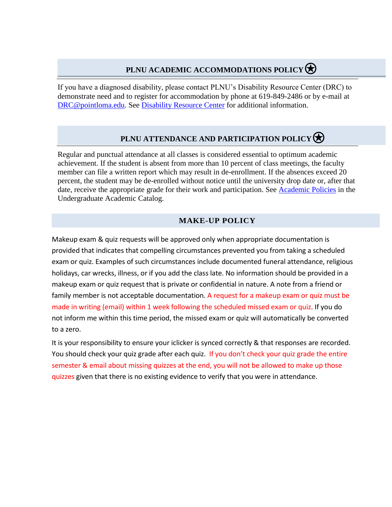# **PLNU ACADEMIC ACCOMMODATIONS POLICY**

If you have a diagnosed disability, please contact PLNU's Disability Resource Center (DRC) to demonstrate need and to register for accommodation by phone at 619-849-2486 or by e-mail at [DRC@pointloma.edu.](mailto:DRC@pointloma.edu) See [Disability Resource Center](http://www.pointloma.edu/experience/offices/administrative-offices/academic-advising-office/disability-resource-center) for additional information.

# **PLNU ATTENDANCE AND PARTICIPATION POLICY**

Regular and punctual attendance at all classes is considered essential to optimum academic achievement. If the student is absent from more than 10 percent of class meetings, the faculty member can file a written report which may result in de-enrollment. If the absences exceed 20 percent, the student may be de-enrolled without notice until the university drop date or, after that date, receive the appropriate grade for their work and participation. See [Academic Policies](http://catalog.pointloma.edu/content.php?catoid=18&navoid=1278) in the Undergraduate Academic Catalog.

### **MAKE-UP POLICY**

Makeup exam & quiz requests will be approved only when appropriate documentation is provided that indicates that compelling circumstances prevented you from taking a scheduled exam or quiz. Examples of such circumstances include documented funeral attendance, religious holidays, car wrecks, illness, or if you add the class late. No information should be provided in a makeup exam or quiz request that is private or confidential in nature. A note from a friend or family member is not acceptable documentation. A request for a makeup exam or quiz must be made in writing (email) within 1 week following the scheduled missed exam or quiz. If you do not inform me within this time period, the missed exam or quiz will automatically be converted to a zero.

It is your responsibility to ensure your iclicker is synced correctly & that responses are recorded. You should check your quiz grade after each quiz. If you don't check your quiz grade the entire semester & email about missing quizzes at the end, you will not be allowed to make up those quizzes given that there is no existing evidence to verify that you were in attendance.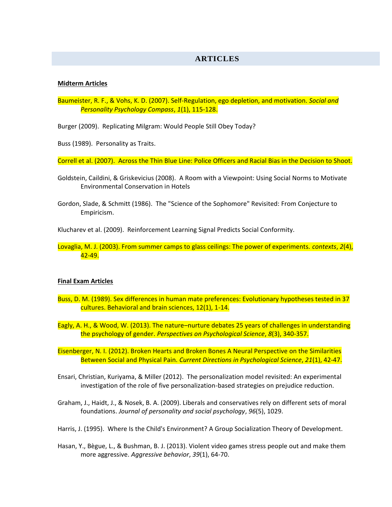#### **ARTICLES**

#### **Midterm Articles**

Baumeister, R. F., & Vohs, K. D. (2007). Self-Regulation, ego depletion, and motivation. *Social and Personality Psychology Compass*, *1*(1), 115-128.

Burger (2009). Replicating Milgram: Would People Still Obey Today?

Buss (1989). Personality as Traits.

Correll et al. (2007). Across the Thin Blue Line: Police Officers and Racial Bias in the Decision to Shoot.

- Goldstein, Caildini, & Griskevicius (2008). A Room with a Viewpoint: Using Social Norms to Motivate Environmental Conservation in Hotels
- Gordon, Slade, & Schmitt (1986). The "Science of the Sophomore" Revisited: From Conjecture to Empiricism.

Klucharev et al. (2009). Reinforcement Learning Signal Predicts Social Conformity.

Lovaglia, M. J. (2003). From summer camps to glass ceilings: The power of experiments. *contexts*, *2*(4), 42-49.

#### **Final Exam Articles**

- Buss, D. M. (1989). Sex differences in human mate preferences: Evolutionary hypotheses tested in 37 cultures. Behavioral and brain sciences, 12(1), 1-14.
- Eagly, A. H., & Wood, W. (2013). The nature–nurture debates 25 years of challenges in understanding the psychology of gender. *Perspectives on Psychological Science*, *8*(3), 340-357.

Eisenberger, N. I. (2012). Broken Hearts and Broken Bones A Neural Perspective on the Similarities Between Social and Physical Pain. *Current Directions in Psychological Science*, *21*(1), 42-47.

- Ensari, Christian, Kuriyama, & Miller (2012). The personalization model revisited: An experimental investigation of the role of five personalization-based strategies on prejudice reduction.
- Graham, J., Haidt, J., & Nosek, B. A. (2009). Liberals and conservatives rely on different sets of moral foundations. *Journal of personality and social psychology*, *96*(5), 1029.
- Harris, J. (1995). Where Is the Child's Environment? A Group Socialization Theory of Development.
- Hasan, Y., Bègue, L., & Bushman, B. J. (2013). Violent video games stress people out and make them more aggressive. *Aggressive behavior*, *39*(1), 64-70.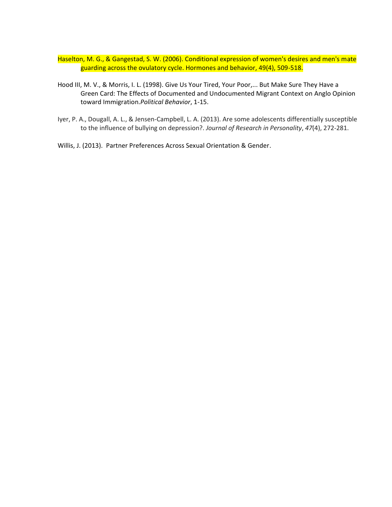- Haselton, M. G., & Gangestad, S. W. (2006). Conditional expression of women's desires and men's mate guarding across the ovulatory cycle. Hormones and behavior, 49(4), 509-518.
- Hood III, M. V., & Morris, I. L. (1998). Give Us Your Tired, Your Poor,... But Make Sure They Have a Green Card: The Effects of Documented and Undocumented Migrant Context on Anglo Opinion toward Immigration.*Political Behavior*, 1-15.
- Iyer, P. A., Dougall, A. L., & Jensen-Campbell, L. A. (2013). Are some adolescents differentially susceptible to the influence of bullying on depression?. *Journal of Research in Personality*, *47*(4), 272-281.
- Willis, J. (2013). Partner Preferences Across Sexual Orientation & Gender.